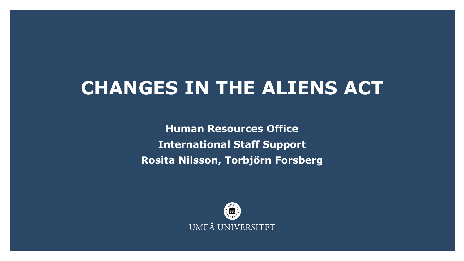#### **CHANGES IN THE ALIENS ACT**

**Human Resources Office International Staff Support Rosita Nilsson, Torbjörn Forsberg**

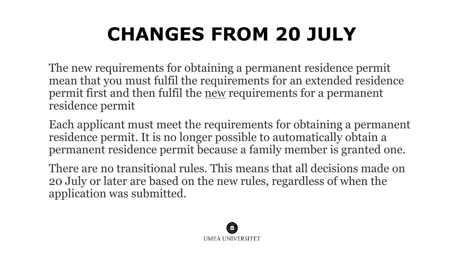# **CHANGES FROM 20 JULY**

The new requirements for obtaining a permanent residence permit mean that you must fulfil the requirements for an extended residence permit first and then fulfil the new requirements for a permanent residence permit

Each applicant must meet the requirements for obtaining a permanent residence permit. It is no longer possible to automatically obtain a permanent residence permit because a family member is granted one.

There are no transitional rules. This means that all decisions made on 20 July or later are based on the new rules, regardless of when the application was submitted.

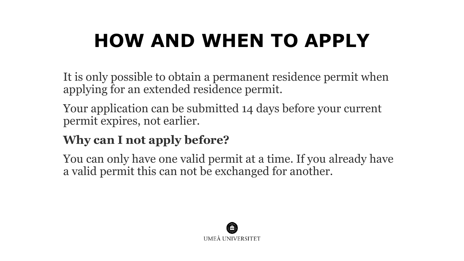## **HOW AND WHEN TO APPLY**

It is only possible to obtain a permanent residence permit when applying for an extended residence permit.

Your application can be submitted 14 days before your current permit expires, not earlier.

#### **Why can I not apply before?**

You can only have one valid permit at a time. If you already have a valid permit this can not be exchanged for another.

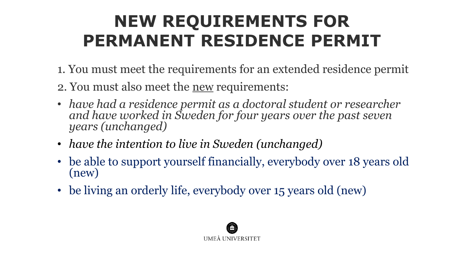## **NEW REQUIREMENTS FOR PERMANENT RESIDENCE PERMIT**

- 1. You must meet the requirements for an extended residence permit
- 2. You must also meet the new requirements:
- *have had a residence permit as a doctoral student or researcher and have worked in Sweden for four years over the past seven years (unchanged)*
- *have the intention to live in Sweden (unchanged)*
- be able to support yourself financially, everybody over 18 years old (new)
- be living an orderly life, everybody over 15 years old (new)

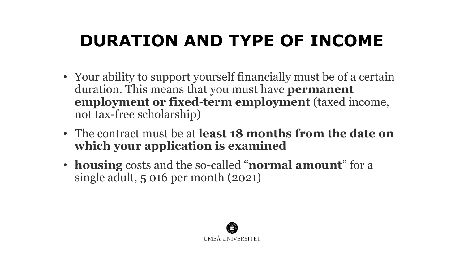## **DURATION AND TYPE OF INCOME**

- Your ability to support yourself financially must be of a certain duration. This means that you must have **permanent employment or fixed-term employment** (taxed income, not tax-free scholarship)
- The contract must be at **least 18 months from the date on which your application is examined**
- **housing** costs and the so-called "**normal amount**" for a single adult, 5 016 per month (2021)

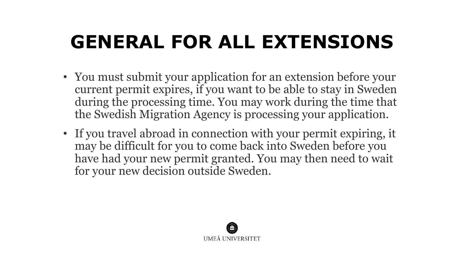## **GENERAL FOR ALL EXTENSIONS**

- You must submit your application for an extension before your current permit expires, if you want to be able to stay in Sweden during the processing time. You may work during the time that the Swedish Migration Agency is processing your application.
- If you travel abroad in connection with your permit expiring, it may be difficult for you to come back into Sweden before you have had your new permit granted. You may then need to wait for your new decision outside Sweden.

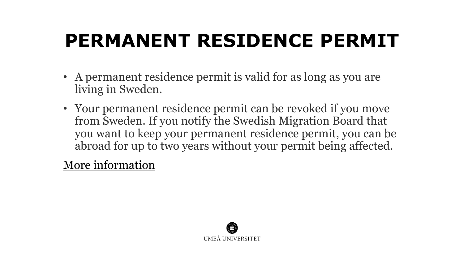## **PERMANENT RESIDENCE PERMIT**

- A permanent residence permit is valid for as long as you are living in Sweden.
- Your permanent residence permit can be revoked if you move from Sweden. If you notify the Swedish Migration Board that you want to keep your permanent residence permit, you can be abroad for up to two years without your permit being affected.

[More information](https://www.migrationsverket.se/English/Private-individuals/Moving-to-someone-in-Sweden/Extending-a-permit/Special-requirements-for-permanent-residence-permits.html) 

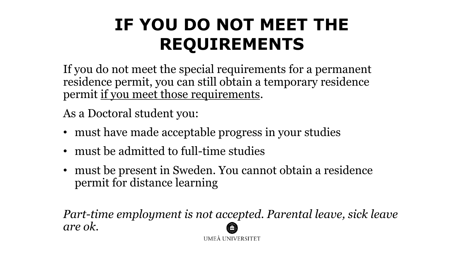#### **IF YOU DO NOT MEET THE REQUIREMENTS**

If you do not meet the special requirements for a permanent residence permit, you can still obtain a temporary residence permit if you meet those requirements.

As a Doctoral student you:

- must have made acceptable progress in your studies
- must be admitted to full-time studies
- must be present in Sweden. You cannot obtain a residence permit for distance learning

*Part-time employment is not accepted. Parental leave, sick leave are ok.* 

UMEÅ UNIVERSITET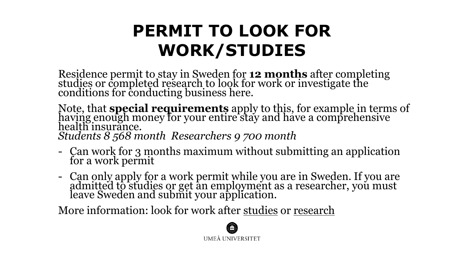#### **PERMIT TO LOOK FOR WORK/STUDIES**

Residence permit to stay in Sweden for **12 months** after completing studies or completed research to look for work or investigate the conditions for conducting business here.

Note, that **special requirements** apply to this, for example in terms of having enough money for your entire stay and have a comprehensive health insurance. *Students 8 568 month Researchers 9 700 month*

- Can work for 3 months maximum without submitting an application for a work permit
- Can only apply for a work permit while you are in Sweden. If you are admitted to studies or get an employment as a researcher, you must leave Sweden and submit your application.

More information: look for work after [studies](https://www.migrationsverket.se/English/Private-individuals/Studying-and-researching-in-Sweden/Looking-for-work-after-studies.html) or [research](https://www.migrationsverket.se/English/Private-individuals/Working-in-Sweden/Employed/Special-rules-for-certain-occupations-and-citizens-of-certain-countries/After-research.html)

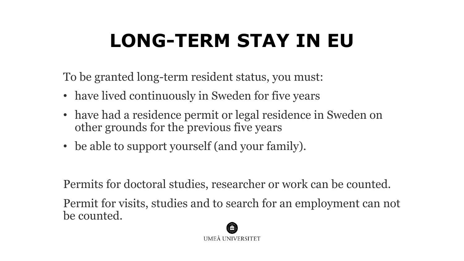## **LONG-TERM STAY IN EU**

To be granted long-term resident status, you must:

- have lived continuously in Sweden for five years
- have had a residence permit or legal residence in Sweden on other grounds for the previous five years
- be able to support yourself (and your family).

Permits for doctoral studies, researcher or work can be counted.

Permit for visits, studies and to search for an employment can not be counted.

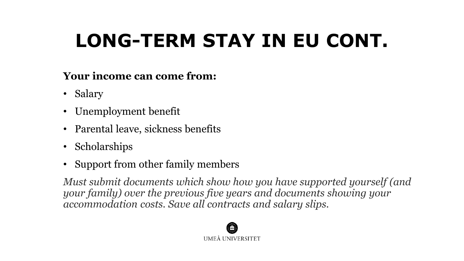## **LONG-TERM STAY IN EU CONT.**

#### **Your income can come from:**

- Salary
- Unemployment benefit
- Parental leave, sickness benefits
- Scholarships
- Support from other family members

*Must submit documents which show how you have supported yourself (and your family) over the previous five years and documents showing your accommodation costs. Save all contracts and salary slips.* 

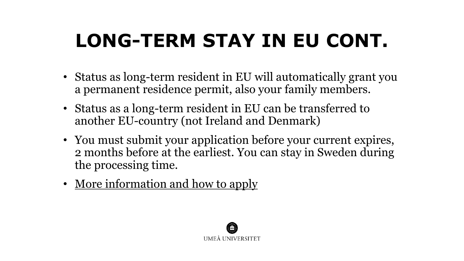## **LONG-TERM STAY IN EU CONT.**

- Status as long-term resident in EU will automatically grant you a permanent residence permit, also your family members.
- Status as a long-term resident in EU can be transferred to another EU-country (not Ireland and Denmark)
- You must submit your application before your current expires, 2 months before at the earliest. You can stay in Sweden during the processing time.
- More [information and how](https://www.migrationsverket.se/English/Private-individuals/EU-EEA-citizens-and-long-term-residents/Long-term-residents/Long-term-resident-in-Sweden.html) to apply